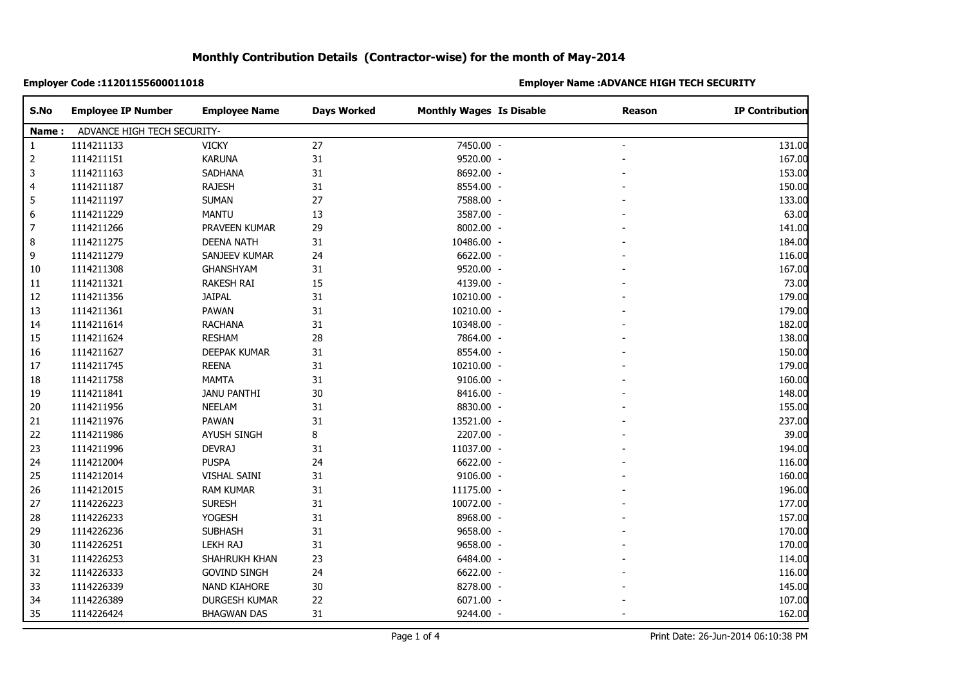### **Employer Code :11201155600011018 Employer Name :ADVANCE HIGH TECH SECURITY**

| S.No         | <b>Employee IP Number</b>            | <b>Employee Name</b> | <b>Days Worked</b> | <b>Monthly Wages Is Disable</b> | <b>Reason</b> | <b>IP Contribution</b> |  |
|--------------|--------------------------------------|----------------------|--------------------|---------------------------------|---------------|------------------------|--|
|              | ADVANCE HIGH TECH SECURITY-<br>Name: |                      |                    |                                 |               |                        |  |
| $\mathbf{1}$ | 1114211133                           | <b>VICKY</b>         | 27                 | 7450.00 -                       |               | 131.00                 |  |
| 2            | 1114211151                           | <b>KARUNA</b>        | 31                 | 9520.00 -                       |               | 167.00                 |  |
| 3            | 1114211163                           | <b>SADHANA</b>       | 31                 | 8692.00 -                       |               | 153.00                 |  |
| 4            | 1114211187                           | <b>RAJESH</b>        | 31                 | 8554.00 -                       |               | 150.00                 |  |
| 5            | 1114211197                           | <b>SUMAN</b>         | 27                 | 7588.00 -                       |               | 133.00                 |  |
| 6            | 1114211229                           | <b>MANTU</b>         | 13                 | 3587.00 -                       |               | 63.00                  |  |
| 7            | 1114211266                           | PRAVEEN KUMAR        | 29                 | 8002.00 -                       |               | 141.00                 |  |
| 8            | 1114211275                           | <b>DEENA NATH</b>    | 31                 | 10486.00 -                      |               | 184.00                 |  |
| 9            | 1114211279                           | SANJEEV KUMAR        | 24                 | 6622.00 -                       |               | 116.00                 |  |
| 10           | 1114211308                           | GHANSHYAM            | 31                 | 9520.00 -                       |               | 167.00                 |  |
| 11           | 1114211321                           | RAKESH RAI           | 15                 | 4139.00 -                       |               | 73.00                  |  |
| 12           | 1114211356                           | <b>JAIPAL</b>        | 31                 | 10210.00 -                      |               | 179.00                 |  |
| 13           | 1114211361                           | PAWAN                | 31                 | 10210.00 -                      |               | 179.00                 |  |
| 14           | 1114211614                           | <b>RACHANA</b>       | 31                 | 10348.00 -                      |               | 182.00                 |  |
| 15           | 1114211624                           | <b>RESHAM</b>        | 28                 | 7864.00 -                       |               | 138.00                 |  |
| 16           | 1114211627                           | <b>DEEPAK KUMAR</b>  | 31                 | 8554.00 -                       |               | 150.00                 |  |
| 17           | 1114211745                           | <b>REENA</b>         | 31                 | 10210.00 -                      |               | 179.00                 |  |
| 18           | 1114211758                           | <b>MAMTA</b>         | 31                 | 9106.00 -                       |               | 160.00                 |  |
| 19           | 1114211841                           | <b>JANU PANTHI</b>   | $30\,$             | 8416.00 -                       |               | 148.00                 |  |
| 20           | 1114211956                           | <b>NEELAM</b>        | 31                 | 8830.00 -                       |               | 155.00                 |  |
| 21           | 1114211976                           | PAWAN                | 31                 | 13521.00 -                      |               | 237.00                 |  |
| 22           | 1114211986                           | <b>AYUSH SINGH</b>   | 8                  | 2207.00 -                       |               | 39.00                  |  |
| 23           | 1114211996                           | <b>DEVRAJ</b>        | 31                 | 11037.00 -                      |               | 194.00                 |  |
| 24           | 1114212004                           | <b>PUSPA</b>         | 24                 | 6622.00 -                       |               | 116.00                 |  |
| 25           | 1114212014                           | VISHAL SAINI         | 31                 | 9106.00 -                       |               | 160.00                 |  |
| 26           | 1114212015                           | <b>RAM KUMAR</b>     | 31                 | 11175.00 -                      |               | 196.00                 |  |
| 27           | 1114226223                           | <b>SURESH</b>        | 31                 | 10072.00 -                      |               | 177.00                 |  |
| 28           | 1114226233                           | <b>YOGESH</b>        | 31                 | 8968.00 -                       |               | 157.00                 |  |
| 29           | 1114226236                           | <b>SUBHASH</b>       | 31                 | 9658.00 -                       |               | 170.00                 |  |
| 30           | 1114226251                           | <b>LEKH RAJ</b>      | 31                 | 9658.00 -                       |               | 170.00                 |  |
| 31           | 1114226253                           | SHAHRUKH KHAN        | 23                 | 6484.00 -                       |               | 114.00                 |  |
| 32           | 1114226333                           | <b>GOVIND SINGH</b>  | 24                 | 6622.00 -                       |               | 116.00                 |  |
| 33           | 1114226339                           | NAND KIAHORE         | 30                 | 8278.00 -                       |               | 145.00                 |  |
| 34           | 1114226389                           | DURGESH KUMAR        | 22                 | 6071.00 -                       |               | 107.00                 |  |
| 35           | 1114226424                           | <b>BHAGWAN DAS</b>   | 31                 | 9244.00 -                       |               | 162.00                 |  |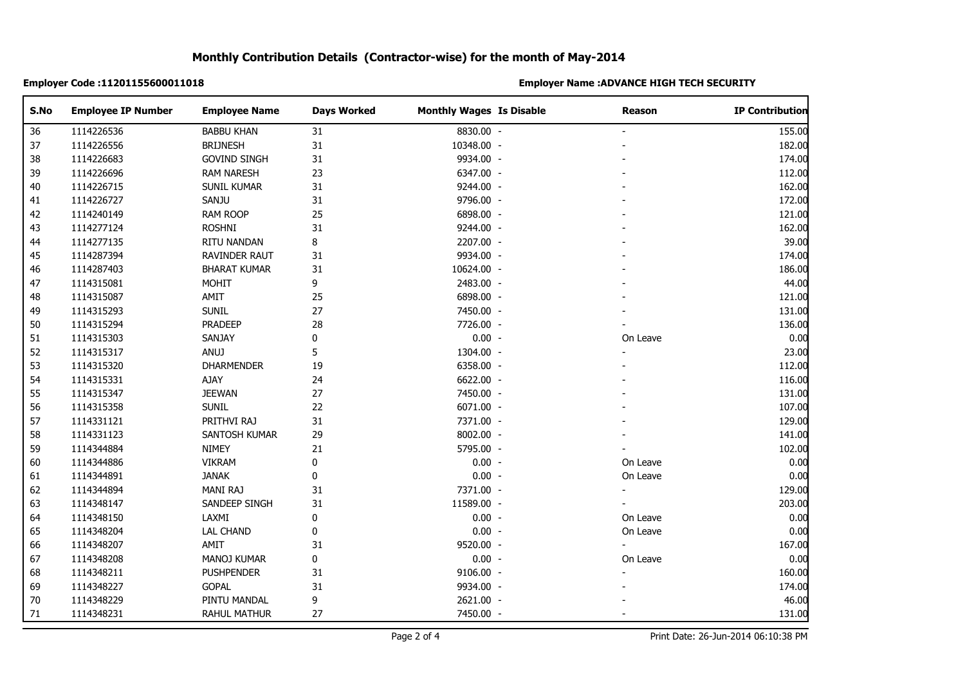### **Employer Code :11201155600011018 Employer Name :ADVANCE HIGH TECH SECURITY**

| S.No | <b>Employee IP Number</b> | <b>Employee Name</b> | <b>Days Worked</b> | <b>Monthly Wages Is Disable</b> | Reason   | <b>IP Contribution</b> |
|------|---------------------------|----------------------|--------------------|---------------------------------|----------|------------------------|
| 36   | 1114226536                | <b>BABBU KHAN</b>    | 31                 | 8830.00 -                       |          | 155.00                 |
| 37   | 1114226556                | <b>BRIJNESH</b>      | $31\,$             | 10348.00 -                      |          | 182.00                 |
| 38   | 1114226683                | <b>GOVIND SINGH</b>  | 31                 | 9934.00 -                       |          | 174.00                 |
| 39   | 1114226696                | <b>RAM NARESH</b>    | 23                 | 6347.00 -                       |          | 112.00                 |
| 40   | 1114226715                | <b>SUNIL KUMAR</b>   | 31                 | 9244.00 -                       |          | 162.00                 |
| 41   | 1114226727                | SANJU                | 31                 | 9796.00 -                       |          | 172.00                 |
| 42   | 1114240149                | RAM ROOP             | 25                 | 6898.00 -                       |          | 121.00                 |
| 43   | 1114277124                | <b>ROSHNI</b>        | 31                 | 9244.00 -                       |          | 162.00                 |
| 44   | 1114277135                | RITU NANDAN          | 8                  | 2207.00 -                       |          | 39.00                  |
| 45   | 1114287394                | RAVINDER RAUT        | 31                 | 9934.00 -                       |          | 174.00                 |
| 46   | 1114287403                | <b>BHARAT KUMAR</b>  | 31                 | 10624.00 -                      |          | 186.00                 |
| 47   | 1114315081                | <b>MOHIT</b>         | 9                  | 2483.00 -                       |          | 44.00                  |
| 48   | 1114315087                | AMIT                 | 25                 | 6898.00 -                       |          | 121.00                 |
| 49   | 1114315293                | <b>SUNIL</b>         | 27                 | 7450.00 -                       |          | 131.00                 |
| 50   | 1114315294                | <b>PRADEEP</b>       | 28                 | 7726.00 -                       |          | 136.00                 |
| 51   | 1114315303                | SANJAY               | 0                  | $0.00 -$                        | On Leave | 0.00                   |
| 52   | 1114315317                | ANUJ                 | 5                  | 1304.00 -                       |          | 23.00                  |
| 53   | 1114315320                | <b>DHARMENDER</b>    | 19                 | 6358.00 -                       |          | 112.00                 |
| 54   | 1114315331                | AJAY                 | 24                 | 6622.00 -                       |          | 116.00                 |
| 55   | 1114315347                | <b>JEEWAN</b>        | 27                 | 7450.00 -                       |          | 131.00                 |
| 56   | 1114315358                | <b>SUNIL</b>         | 22                 | 6071.00 -                       |          | 107.00                 |
| 57   | 1114331121                | PRITHVI RAJ          | 31                 | 7371.00 -                       |          | 129.00                 |
| 58   | 1114331123                | SANTOSH KUMAR        | 29                 | 8002.00 -                       |          | 141.00                 |
| 59   | 1114344884                | NIMEY                | 21                 | 5795.00 -                       |          | 102.00                 |
| 60   | 1114344886                | <b>VIKRAM</b>        | $\pmb{0}$          | $0.00 -$                        | On Leave | 0.00                   |
| 61   | 1114344891                | <b>JANAK</b>         | $\pmb{0}$          | $0.00 -$                        | On Leave | 0.00                   |
| 62   | 1114344894                | MANI RAJ             | 31                 | 7371.00 -                       |          | 129.00                 |
| 63   | 1114348147                | SANDEEP SINGH        | 31                 | 11589.00 -                      |          | 203.00                 |
| 64   | 1114348150                | LAXMI                | 0                  | $0.00 -$                        | On Leave | 0.00                   |
| 65   | 1114348204                | <b>LAL CHAND</b>     | $\pmb{0}$          | $0.00 -$                        | On Leave | 0.00                   |
| 66   | 1114348207                | AMIT                 | 31                 | 9520.00 -                       |          | 167.00                 |
| 67   | 1114348208                | MANOJ KUMAR          | 0                  | $0.00 -$                        | On Leave | 0.00                   |
| 68   | 1114348211                | <b>PUSHPENDER</b>    | 31                 | 9106.00 -                       |          | 160.00                 |
| 69   | 1114348227                | <b>GOPAL</b>         | 31                 | 9934.00 -                       |          | 174.00                 |
| 70   | 1114348229                | PINTU MANDAL         | 9                  | 2621.00 -                       |          | 46.00                  |
| 71   | 1114348231                | RAHUL MATHUR         | 27                 | 7450.00 -                       |          | 131.00                 |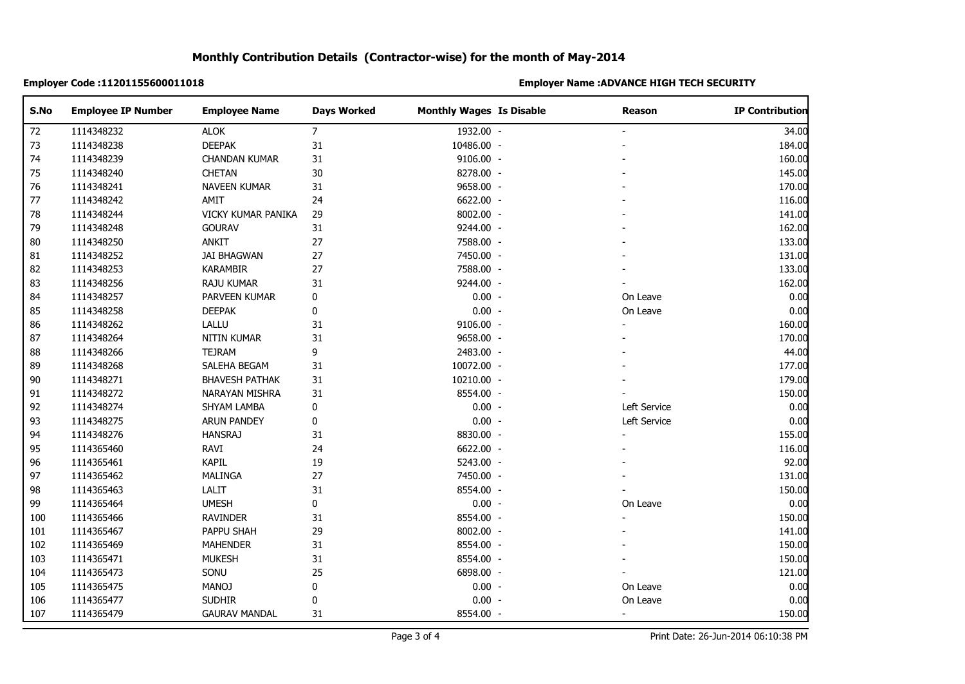### **Employer Code :11201155600011018 Employer Name :ADVANCE HIGH TECH SECURITY**

| S.No | <b>Employee IP Number</b> | <b>Employee Name</b>  | <b>Days Worked</b> | <b>Monthly Wages Is Disable</b> | <b>Reason</b>  | <b>IP Contribution</b> |
|------|---------------------------|-----------------------|--------------------|---------------------------------|----------------|------------------------|
| 72   | 1114348232                | <b>ALOK</b>           | $\overline{7}$     | 1932.00 -                       |                | 34.00                  |
| 73   | 1114348238                | <b>DEEPAK</b>         | 31                 | 10486.00 -                      |                | 184.00                 |
| 74   | 1114348239                | <b>CHANDAN KUMAR</b>  | 31                 | 9106.00 -                       |                | 160.00                 |
| 75   | 1114348240                | CHETAN                | 30                 | 8278.00 -                       |                | 145.00                 |
| 76   | 1114348241                | <b>NAVEEN KUMAR</b>   | 31                 | 9658.00 -                       |                | 170.00                 |
| 77   | 1114348242                | AMIT                  | 24                 | 6622.00 -                       |                | 116.00                 |
| 78   | 1114348244                | VICKY KUMAR PANIKA    | 29                 | 8002.00 -                       |                | 141.00                 |
| 79   | 1114348248                | <b>GOURAV</b>         | 31                 | 9244.00 -                       |                | 162.00                 |
| 80   | 1114348250                | <b>ANKIT</b>          | $27\,$             | 7588.00 -                       |                | 133.00                 |
| 81   | 1114348252                | <b>JAI BHAGWAN</b>    | 27                 | 7450.00 -                       |                | 131.00                 |
| 82   | 1114348253                | <b>KARAMBIR</b>       | 27                 | 7588.00 -                       |                | 133.00                 |
| 83   | 1114348256                | RAJU KUMAR            | 31                 | 9244.00 -                       |                | 162.00                 |
| 84   | 1114348257                | PARVEEN KUMAR         | 0                  | $0.00 -$                        | On Leave       | 0.00                   |
| 85   | 1114348258                | <b>DEEPAK</b>         | 0                  | $0.00 -$                        | On Leave       | 0.00                   |
| 86   | 1114348262                | LALLU                 | 31                 | 9106.00 -                       |                | 160.00                 |
| 87   | 1114348264                | NITIN KUMAR           | 31                 | 9658.00 -                       |                | 170.00                 |
| 88   | 1114348266                | <b>TEJRAM</b>         | 9                  | 2483.00 -                       |                | 44.00                  |
| 89   | 1114348268                | SALEHA BEGAM          | 31                 | 10072.00 -                      |                | 177.00                 |
| 90   | 1114348271                | <b>BHAVESH PATHAK</b> | 31                 | 10210.00 -                      |                | 179.00                 |
| 91   | 1114348272                | NARAYAN MISHRA        | 31                 | 8554.00 -                       |                | 150.00                 |
| 92   | 1114348274                | SHYAM LAMBA           | $\pmb{0}$          | $0.00 -$                        | Left Service   | 0.00                   |
| 93   | 1114348275                | <b>ARUN PANDEY</b>    | 0                  | $0.00 -$                        | Left Service   | 0.00                   |
| 94   | 1114348276                | <b>HANSRAJ</b>        | 31                 | 8830.00 -                       |                | 155.00                 |
| 95   | 1114365460                | RAVI                  | 24                 | 6622.00 -                       |                | 116.00                 |
| 96   | 1114365461                | <b>KAPIL</b>          | 19                 | 5243.00 -                       |                | 92.00                  |
| 97   | 1114365462                | MALINGA               | 27                 | 7450.00 -                       |                | 131.00                 |
| 98   | 1114365463                | LALIT                 | 31                 | 8554.00 -                       |                | 150.00                 |
| 99   | 1114365464                | <b>UMESH</b>          | $\pmb{0}$          | $0.00 -$                        | On Leave       | 0.00                   |
| 100  | 1114365466                | <b>RAVINDER</b>       | 31                 | 8554.00 -                       | ÷              | 150.00                 |
| 101  | 1114365467                | PAPPU SHAH            | 29                 | 8002.00 -                       |                | 141.00                 |
| 102  | 1114365469                | <b>MAHENDER</b>       | 31                 | 8554.00 -                       |                | 150.00                 |
| 103  | 1114365471                | <b>MUKESH</b>         | 31                 | 8554.00 -                       |                | 150.00                 |
| 104  | 1114365473                | SONU                  | 25                 | 6898.00 -                       |                | 121.00                 |
| 105  | 1114365475                | <b>MANOJ</b>          | 0                  | $0.00 -$                        | On Leave       | 0.00                   |
| 106  | 1114365477                | <b>SUDHIR</b>         | 0                  | $0.00 -$                        | On Leave       | 0.00                   |
| 107  | 1114365479                | <b>GAURAV MANDAL</b>  | 31                 | 8554.00 -                       | $\blacksquare$ | 150.00                 |